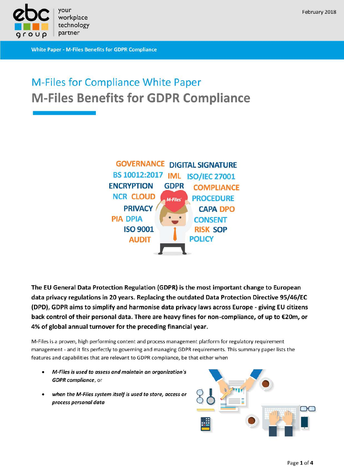

**White Paper - M-Files Benefits for GDPR Compliance** 

## February 2018

# **M-Files for Compliance White Paper M-Files Benefits for GDPR Compliance**



The EU General Data Protection Regulation (GDPR) is the most important change to European data privacy regulations in 20 years. Replacing the outdated Data Protection Directive 95/46/EC (DPD), GDPR aims to simplify and harmonise data privacy laws across Europe - giving EU citizens back control of their personal data. There are heavy fines for non-compliance, of up to €20m, or 4% of global annual turnover for the preceding financial year.

M-Files is a proven, high performing content and process management platform for regulatory requirement management - and it fits perfectly to governing and managing GDPR requirements. This summary paper lists the features and capabilities that are relevant to GDPR compliance, be that either when

- M-Files is used to assess and maintain an organization's GDPR compliance, or
- when the M-Files system itself is used to store, access or process personal data

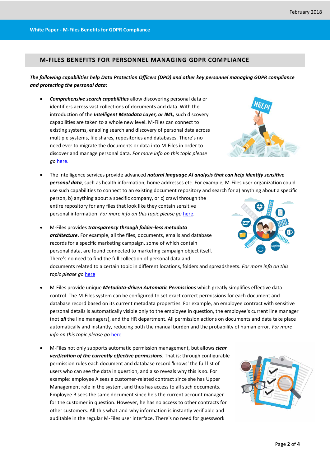### **M-FILES BENEFITS FOR PERSONNEL MANAGING GDPR COMPLIANCE**

#### *The following capabilities help Data Protection Officers (DPO) and other key personnel managing GDPR compliance and protecting the personal data:*

 *Comprehensive search capabilities* allow discovering personal data or identifiers across vast collections of documents and data. With the introduction of the *Intelligent Metadata Layer, or IML,* such discovery capabilities are taken to a whole new level. M-Files can connect to existing systems, enabling search and discovery of personal data across multiple systems, file shares, repositories and databases. There's no need ever to migrate the documents or data into M-Files in order to discover and manage personal data. *For more info on this topic please go* [here.](https://www.m-files.com/en/intelligent-metadata-layer-ecm)

personal information. *For more info on this topic please go* [here.](https://www.m-files.com/user-guide/latest/eng/intelligent_metadata_layer.html)



- The Intelligence services provide advanced *natural language AI analysis that can help identify sensitive personal data*, such as health information, home addresses etc. For example, M-Files user organization could use such capabilities to connect to an existing document repository and search for a) anything about a specific person, b) anything about a specific company, or c) crawl through the entire repository for any files that look like they contain sensitive
- M-Files provides *transparency through folder-less metadata architecture*. For example, all the files, documents, emails and database records for a specific marketing campaign, some of which contain personal data, are found connected to marketing campaign object itself. There's no need to find the full collection of personal data and documents related to a certain topic in different locations, folders and spreadsheets. *For more info on this topic please go* [here](https://www.m-files.com/en/top-ecm-features-new#oneplace)
- M-Files provide unique *Metadata-driven Automatic Permissions* which greatly simplifies effective data control. The M-Files system can be configured to set exact correct permissions for each document and database record based on its current metadata properties. For example, an employee contract with sensitive personal details is automatically visible only to the employee in question, the employee's current line manager (not *all* the line managers), and the HR department. All permission actions on documents and data take place automatically and instantly, reducing both the manual burden and the probability of human error. *For more info on this topic please go* [here](https://www.m-files.com/en/access-permissions)
- M-Files not only supports automatic permission management, but allows *clear verification of the currently effective permissions*. That is: through configurable permission rules each document and database record 'knows' the full list of users who can see the data in question, and also reveals why this is so. For example: employee A sees a customer-related contract since she has Upper Management role in the system, and thus has access to all such documents. Employee B sees the same document since he's the current account manager for the customer in question. However, he has no access to other contracts for other customers. All this what-and-why information is instantly verifiable and auditable in the regular M-Files user interface. There's no need for guesswork



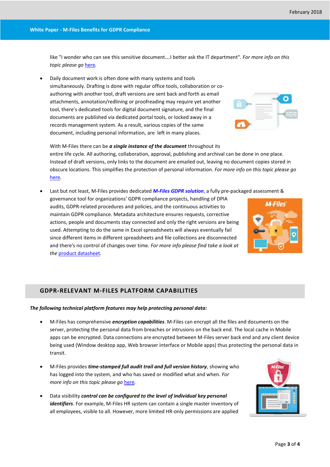like "I wonder who can see this sensitive document….I better ask the IT department". *For more info on this topic please go* [here](https://www.m-files.com/en/top-ecm-features-new#permissions)*.*

 Daily document work is often done with many systems and tools simultaneously. Drafting is done with regular office tools, collaboration or coauthoring with another tool, draft versions are sent back and forth as email attachments, annotation/redlining or proofreading may require yet another tool, there's dedicated tools for digital document signature, and the final documents are published via dedicated portal tools, or locked away in a records management system. As a result, various copies of the same document, including personal information, are left in many places.

With M-Files there can be *a single instance of the document* throughout its entire life cycle. All authoring, collaboration, approval, publishing and archival can be done in one place. Instead of draft versions, only links to the document are emailed out, leaving no document copies stored in obscure locations. This simplifies the protection of personal information. *For more info on this topic please go* [here](https://www.m-files.com/en/top-ecm-features-new#coauthor)*.*

Last but not least, M-Files provides dedicated *M-Files GDPR solution*, a fully pre-packaged assessment &

governance tool for organizations' GDPR compliance projects, handling of DPIA audits, GDPR-related procedures and policies, and the continuous activities to maintain GDPR compliance. Metadata architecture ensures requests, corrective actions, people and documents stay connected and only the right versions are being used. Attempting to do the same in Excel spreadsheets will always eventually fail since different items in different spreadsheets and file collections are disconnected and there's no control of changes over time. *For more info please find take a look at the* [product datasheet](https://kb.cloudvault.m-files.com/Default.aspx?#3ECA226F-7B54-428B-B539-DE443E6134EC/object/B75DF608-61ED-4E55-80AB-5E26470197A3/latest)*.*

#### **GDPR-RELEVANT M-FILES PLATFORM CAPABILITIES**

#### *The following technical platform features may help protecting personal data:*

- M-Files has comprehensive *encryption capabilities*. M-Files can encrypt all the files and documents on the server, protecting the personal data from breaches or intrusions on the back end. The local cache in Mobile apps can be encrypted. Data connections are encrypted between M-Files server back end and any client device being used (Window desktop app, Web browser interface or Mobile apps) thus protecting the personal data in transit.
- M-Files provides *time-stamped full audit trail and full version history*, showing who has logged into the system, and who has saved or modified what and when. *For more info on this topic please go* [here](https://m-files.com/user-guide/latest/eng/Event_log.html)*.*
- Data visibility *control can be configured to the level of individual key personal identifiers*. For example, M-Files HR system can contain a single master inventory of all employees, visible to all. However, more limited HR-only permissions are applied